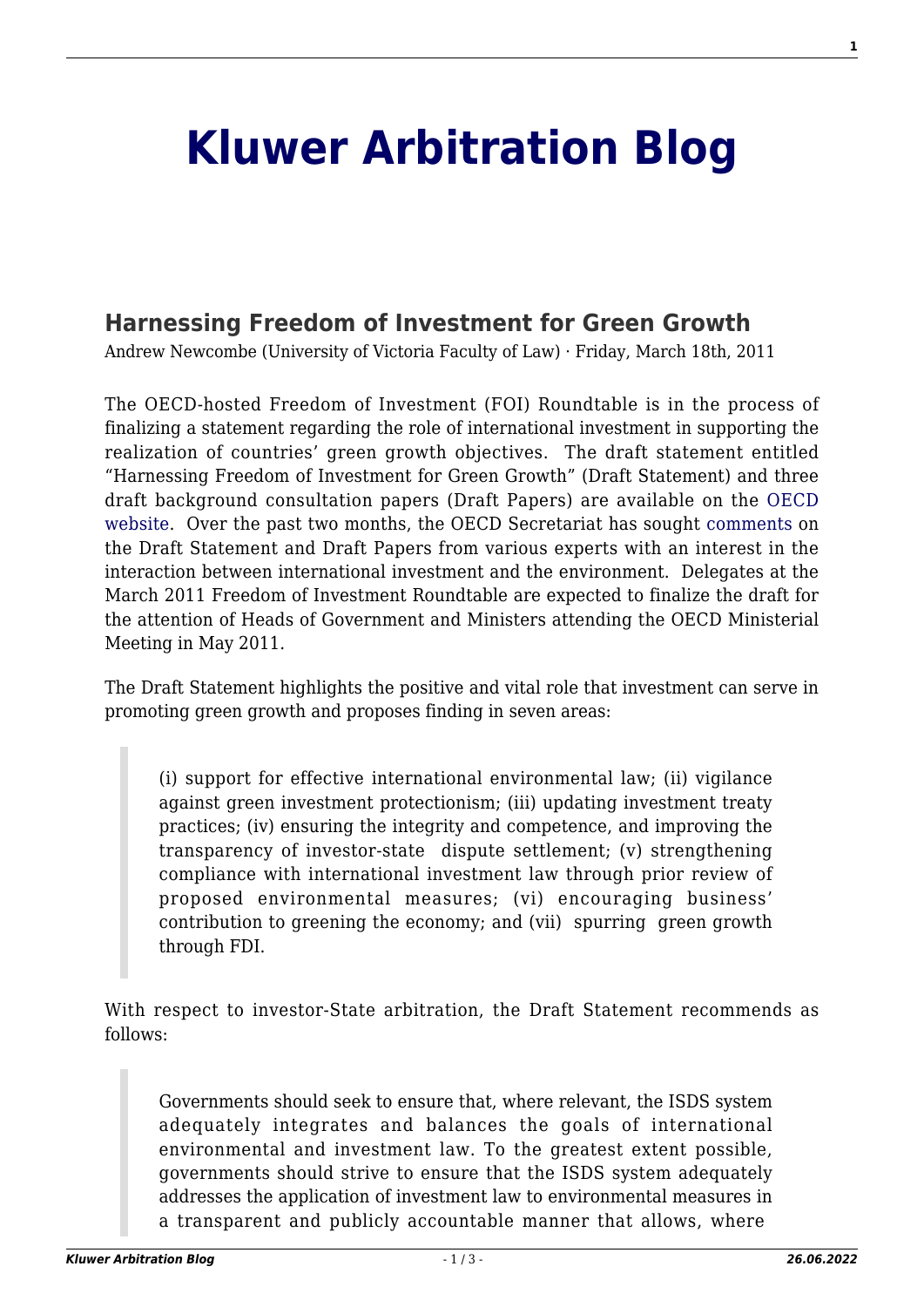## **[Kluwer Arbitration Blog](http://arbitrationblog.kluwerarbitration.com/)**

## **[Harnessing Freedom of Investment for Green Growth](http://arbitrationblog.kluwerarbitration.com/2011/03/18/harnessing-freedom-of-investment-for-green-growth/)**

Andrew Newcombe (University of Victoria Faculty of Law) · Friday, March 18th, 2011

The OECD-hosted Freedom of Investment (FOI) Roundtable is in the process of finalizing a statement regarding the role of international investment in supporting the realization of countries' green growth objectives. The draft statement entitled "Harnessing Freedom of Investment for Green Growth" (Draft Statement) and three draft background consultation papers (Draft Papers) are available on the [OECD](http://www.oecd.org/dataoecd/8/3/46905672.pdf) [website](http://www.oecd.org/dataoecd/8/3/46905672.pdf). Over the past two months, the OECD Secretariat has sought [comments](http://www.oecd.org/dataoecd/6/62/47090812.pdf) on the Draft Statement and Draft Papers from various experts with an interest in the interaction between international investment and the environment. Delegates at the March 2011 Freedom of Investment Roundtable are expected to finalize the draft for the attention of Heads of Government and Ministers attending the OECD Ministerial Meeting in May 2011.

The Draft Statement highlights the positive and vital role that investment can serve in promoting green growth and proposes finding in seven areas:

(i) support for effective international environmental law; (ii) vigilance against green investment protectionism; (iii) updating investment treaty practices; (iv) ensuring the integrity and competence, and improving the transparency of investor-state dispute settlement; (v) strengthening compliance with international investment law through prior review of proposed environmental measures; (vi) encouraging business' contribution to greening the economy; and (vii) spurring green growth through FDI.

With respect to investor-State arbitration, the Draft Statement recommends as follows:

Governments should seek to ensure that, where relevant, the ISDS system adequately integrates and balances the goals of international environmental and investment law. To the greatest extent possible, governments should strive to ensure that the ISDS system adequately addresses the application of investment law to environmental measures in a transparent and publicly accountable manner that allows, where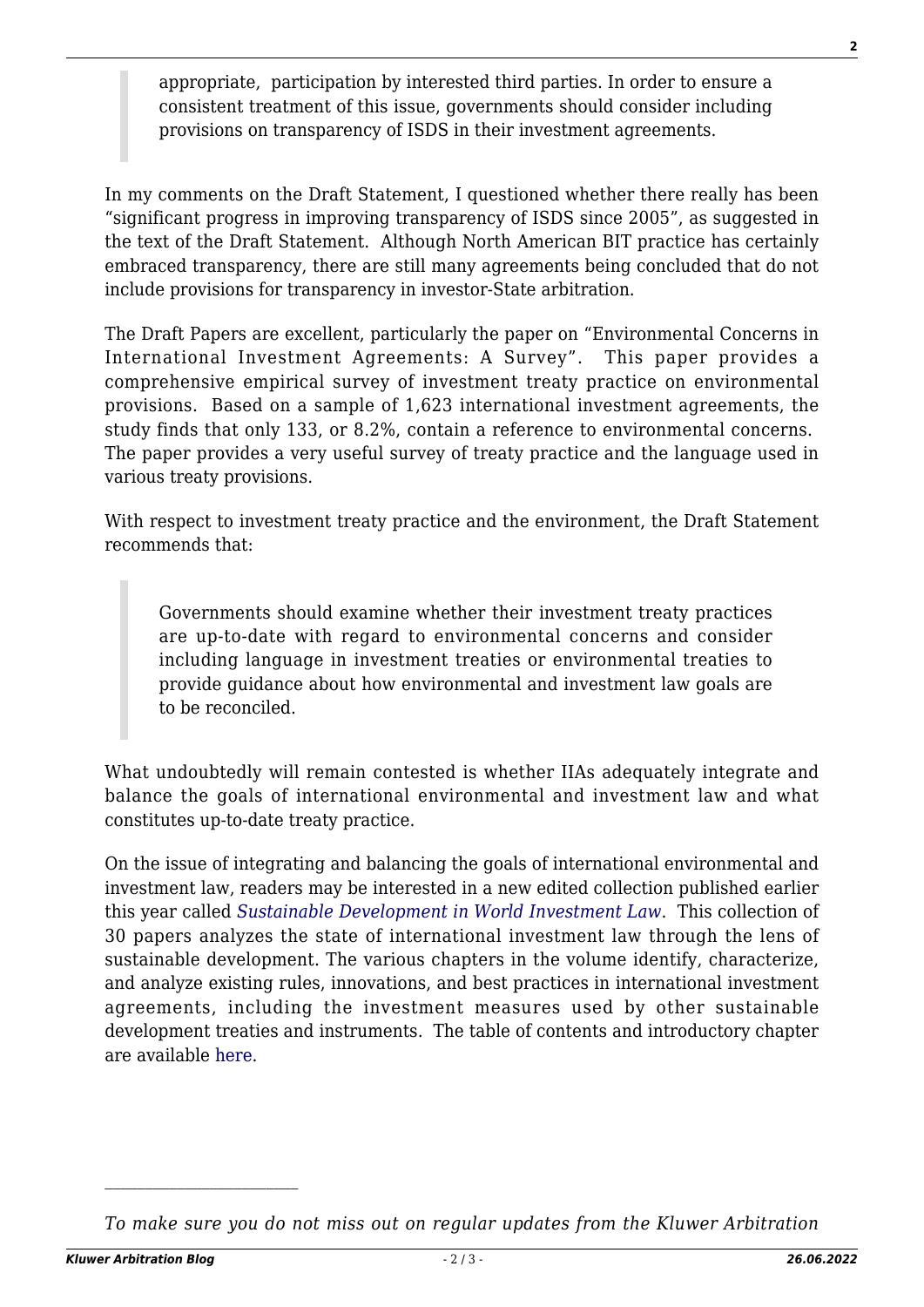appropriate, participation by interested third parties. In order to ensure a consistent treatment of this issue, governments should consider including provisions on transparency of ISDS in their investment agreements.

In my comments on the Draft Statement, I questioned whether there really has been "significant progress in improving transparency of ISDS since 2005", as suggested in the text of the Draft Statement. Although North American BIT practice has certainly embraced transparency, there are still many agreements being concluded that do not include provisions for transparency in investor-State arbitration.

The Draft Papers are excellent, particularly the paper on "Environmental Concerns in International Investment Agreements: A Survey". This paper provides a comprehensive empirical survey of investment treaty practice on environmental provisions. Based on a sample of 1,623 international investment agreements, the study finds that only 133, or 8.2%, contain a reference to environmental concerns. The paper provides a very useful survey of treaty practice and the language used in various treaty provisions.

With respect to investment treaty practice and the environment, the Draft Statement recommends that:

Governments should examine whether their investment treaty practices are up-to-date with regard to environmental concerns and consider including language in investment treaties or environmental treaties to provide guidance about how environmental and investment law goals are to be reconciled.

What undoubtedly will remain contested is whether IIAs adequately integrate and balance the goals of international environmental and investment law and what constitutes up-to-date treaty practice.

On the issue of integrating and balancing the goals of international environmental and investment law, readers may be interested in a new edited collection published earlier this year called *[Sustainable Development in World Investment Law](http://www.kluwerlaw.com/Catalogue/titleinfo.htm?ProdID=9041131663)*. This collection of 30 papers analyzes the state of international investment law through the lens of sustainable development. The various chapters in the volume identify, characterize, and analyze existing rules, innovations, and best practices in international investment agreements, including the investment measures used by other sustainable development treaties and instruments. The table of contents and introductory chapter are available [here.](http://ita.law.uvic.ca/documents/SustainableDevelopmentinWorldInvestmentLawChapter1GehringandNewcombe.pdf)

*To make sure you do not miss out on regular updates from the Kluwer Arbitration*